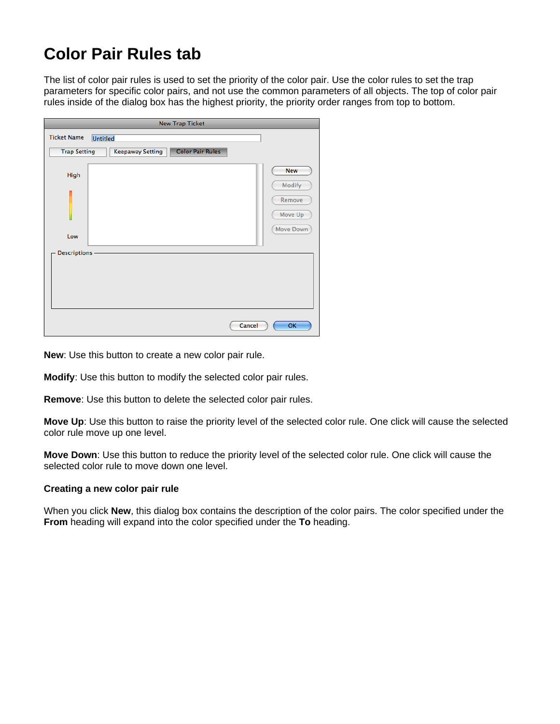## **Color Pair Rules tab**

The list of color pair rules is used to set the priority of the color pair. Use the color rules to set the trap parameters for specific color pairs, and not use the common parameters of all objects. The top of color pair rules inside of the dialog box has the highest priority, the priority order ranges from top to bottom.

| <b>New Trap Ticket</b>                                                    |                             |  |
|---------------------------------------------------------------------------|-----------------------------|--|
| <b>Ticket Name</b><br><b>Untitled</b>                                     |                             |  |
| <b>Color Pair Rules</b><br><b>Trap Setting</b><br><b>Keepaway Setting</b> |                             |  |
| High                                                                      | <b>New</b>                  |  |
|                                                                           | Modify<br>Remove<br>Move Up |  |
| Low                                                                       | Move Down                   |  |
| Descriptions -                                                            |                             |  |
|                                                                           |                             |  |
| Cancel                                                                    | OK                          |  |

**New**: Use this button to create a new color pair rule.

**Modify**: Use this button to modify the selected color pair rules.

**Remove**: Use this button to delete the selected color pair rules.

**Move Up**: Use this button to raise the priority level of the selected color rule. One click will cause the selected color rule move up one level.

**Move Down**: Use this button to reduce the priority level of the selected color rule. One click will cause the selected color rule to move down one level.

## **Creating a new color pair rule**

When you click **New**, this dialog box contains the description of the color pairs. The color specified under the **From** heading will expand into the color specified under the **To** heading.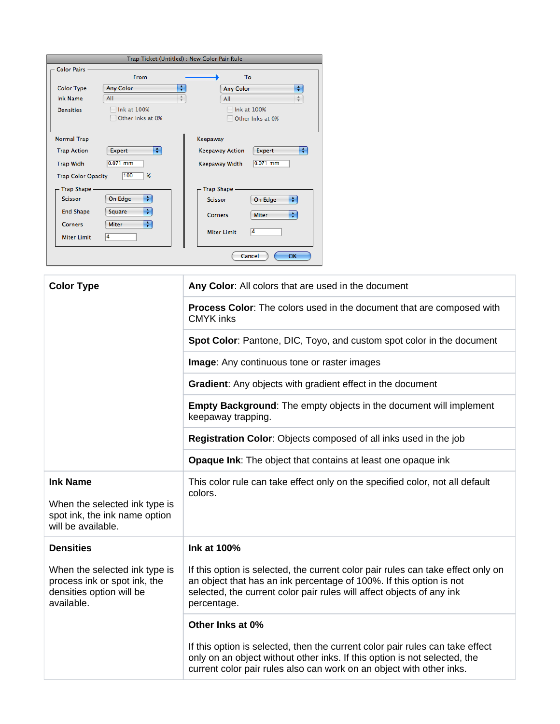| Trap Ticket (Untitled) : New Color Pair Rule |                    |                 |                                       |  |
|----------------------------------------------|--------------------|-----------------|---------------------------------------|--|
| Color Pairs -                                |                    |                 |                                       |  |
|                                              | From               |                 | To                                    |  |
| <b>Color Type</b>                            | Any Color          | ÷               | ÷<br><b>Any Color</b>                 |  |
| <b>Ink Name</b>                              | All                | $\frac{A}{\pi}$ | ÷<br>All                              |  |
| <b>Densities</b>                             | Ink at 100%        |                 | Ink at 100%                           |  |
|                                              | Other Inks at 0%   |                 | Other Inks at 0%                      |  |
|                                              |                    |                 |                                       |  |
| <b>Normal Trap</b>                           |                    |                 | Keepaway                              |  |
| <b>Trap Action</b>                           | ÷<br><b>Expert</b> |                 | ÷<br><b>Keepaway Action</b><br>Expert |  |
| <b>Trap Widh</b>                             | $0.071$ mm         |                 | $0.071$ mm<br>Keepaway Width          |  |
| 100<br>$\%$<br><b>Trap Color Opacity</b>     |                    |                 |                                       |  |
| Trap Shape -                                 |                    |                 | Trap Shape -                          |  |
| <b>Scissor</b>                               | ÷<br>On Edge       |                 | ÷<br>On Edge<br><b>Scissor</b>        |  |
| <b>End Shape</b>                             | ÷<br>Square        |                 | ÷<br><b>Miter</b><br>Corners          |  |
| <b>Corners</b>                               | ÷<br><b>Miter</b>  |                 | 4                                     |  |
| <b>Miter Limit</b>                           | 4                  |                 | <b>Miter Limit</b>                    |  |
|                                              |                    |                 | Cancel<br>OK                          |  |

| <b>Color Type</b>                                                                                       | Any Color: All colors that are used in the document                                                                                                                                                                                             |  |  |  |
|---------------------------------------------------------------------------------------------------------|-------------------------------------------------------------------------------------------------------------------------------------------------------------------------------------------------------------------------------------------------|--|--|--|
|                                                                                                         | Process Color: The colors used in the document that are composed with<br><b>CMYK</b> inks                                                                                                                                                       |  |  |  |
|                                                                                                         | Spot Color: Pantone, DIC, Toyo, and custom spot color in the document                                                                                                                                                                           |  |  |  |
|                                                                                                         | Image: Any continuous tone or raster images                                                                                                                                                                                                     |  |  |  |
|                                                                                                         | Gradient: Any objects with gradient effect in the document                                                                                                                                                                                      |  |  |  |
|                                                                                                         | <b>Empty Background:</b> The empty objects in the document will implement<br>keepaway trapping.                                                                                                                                                 |  |  |  |
|                                                                                                         | Registration Color: Objects composed of all inks used in the job                                                                                                                                                                                |  |  |  |
|                                                                                                         | <b>Opaque Ink:</b> The object that contains at least one opaque ink                                                                                                                                                                             |  |  |  |
| <b>Ink Name</b><br>When the selected ink type is<br>spot ink, the ink name option<br>will be available. | This color rule can take effect only on the specified color, not all default<br>colors.                                                                                                                                                         |  |  |  |
| <b>Densities</b>                                                                                        | Ink at 100%                                                                                                                                                                                                                                     |  |  |  |
| When the selected ink type is<br>process ink or spot ink, the<br>densities option will be<br>available. | If this option is selected, the current color pair rules can take effect only on<br>an object that has an ink percentage of 100%. If this option is not<br>selected, the current color pair rules will affect objects of any ink<br>percentage. |  |  |  |
|                                                                                                         | Other Inks at 0%                                                                                                                                                                                                                                |  |  |  |
|                                                                                                         | If this option is selected, then the current color pair rules can take effect<br>only on an object without other inks. If this option is not selected, the<br>current color pair rules also can work on an object with other inks.              |  |  |  |